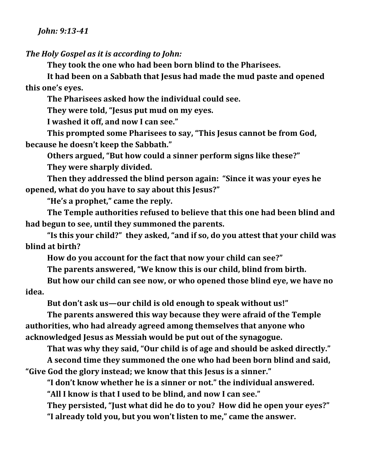## *John: 9:13-41*

**The Holy Gospel as it is according to John:** 

They took the one who had been born blind to the Pharisees.

It had been on a Sabbath that Jesus had made the mud paste and opened this one's eyes.

**The Pharisees asked how the individual could see.** 

They were told, "Jesus put mud on my eyes.

I washed it off, and now I can see."

This prompted some Pharisees to say, "This Jesus cannot be from God, **because he doesn't keep the Sabbath."** 

**Others argued, "But how could a sinner perform signs like these?"** They were sharply divided.

Then they addressed the blind person again: "Since it was your eyes he **opened, what do you have to say about this Jesus?"** 

"He's a prophet," came the reply.

The Temple authorities refused to believe that this one had been blind and had begun to see, until they summoned the parents.

"Is this your child?" they asked, "and if so, do you attest that your child was **blind at birth?** 

How do you account for the fact that now your child can see?"

The parents answered, "We know this is our child, blind from birth.

But how our child can see now, or who opened those blind eye, we have no **idea.**

But don't ask us—our child is old enough to speak without us!"

**The parents answered this way because they were afraid of the Temple** authorities, who had already agreed among themselves that anyone who acknowledged Jesus as Messiah would be put out of the synagogue.

That was why they said, "Our child is of age and should be asked directly."

A second time they summoned the one who had been born blind and said, "Give God the glory instead; we know that this Jesus is a sinner."

"I don't know whether he is a sinner or not." the individual answered.

"All I know is that I used to be blind, and now I can see."

They persisted, "Just what did he do to you? How did he open your eyes?" **"I already told you, but you won't listen to me," came the answer.**